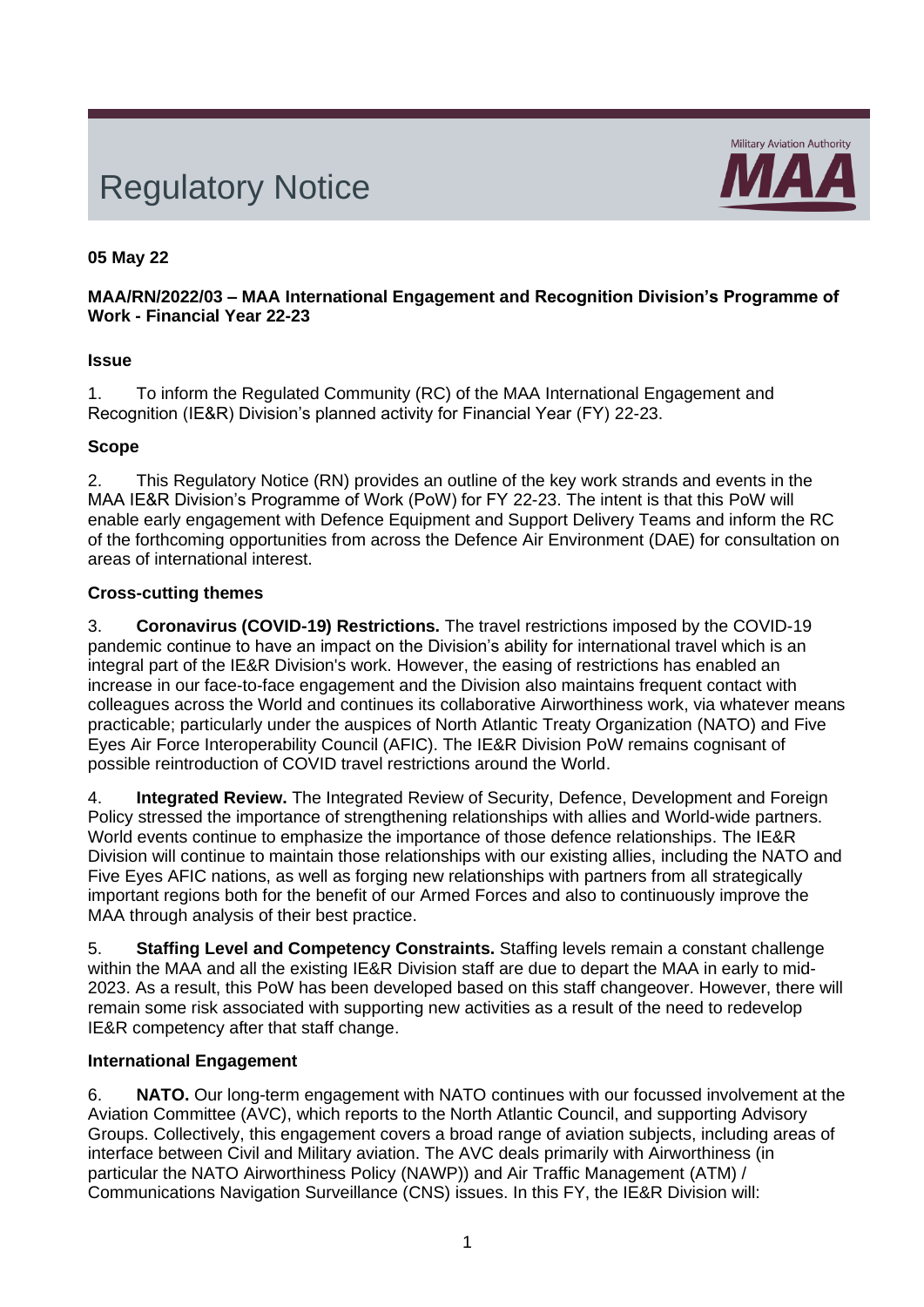# Regulatory Notice



# **05 May 22**

## **MAA/RN/2022/03 – MAA International Engagement and Recognition Division's Programme of Work - Financial Year 22-23**

## **Issue**

1. To inform the Regulated Community (RC) of the MAA International Engagement and Recognition (IE&R) Division's planned activity for Financial Year (FY) 22-23.

## **Scope**

2. This Regulatory Notice (RN) provides an outline of the key work strands and events in the MAA IE&R Division's Programme of Work (PoW) for FY 22-23. The intent is that this PoW will enable early engagement with Defence Equipment and Support Delivery Teams and inform the RC of the forthcoming opportunities from across the Defence Air Environment (DAE) for consultation on areas of international interest.

### **Cross-cutting themes**

3. **Coronavirus (COVID-19) Restrictions.** The travel restrictions imposed by the COVID-19 pandemic continue to have an impact on the Division's ability for international travel which is an integral part of the IE&R Division's work. However, the easing of restrictions has enabled an increase in our face-to-face engagement and the Division also maintains frequent contact with colleagues across the World and continues its collaborative Airworthiness work, via whatever means practicable; particularly under the auspices of North Atlantic Treaty Organization (NATO) and Five Eyes Air Force Interoperability Council (AFIC). The IE&R Division PoW remains cognisant of possible reintroduction of COVID travel restrictions around the World.

4. **Integrated Review.** The Integrated Review of Security, Defence, Development and Foreign Policy stressed the importance of strengthening relationships with allies and World-wide partners. World events continue to emphasize the importance of those defence relationships. The IE&R Division will continue to maintain those relationships with our existing allies, including the NATO and Five Eyes AFIC nations, as well as forging new relationships with partners from all strategically important regions both for the benefit of our Armed Forces and also to continuously improve the MAA through analysis of their best practice.

5. **Staffing Level and Competency Constraints.** Staffing levels remain a constant challenge within the MAA and all the existing IE&R Division staff are due to depart the MAA in early to mid-2023. As a result, this PoW has been developed based on this staff changeover. However, there will remain some risk associated with supporting new activities as a result of the need to redevelop IE&R competency after that staff change.

# **International Engagement**

6. **NATO.** Our long-term engagement with NATO continues with our focussed involvement at the Aviation Committee (AVC), which reports to the North Atlantic Council, and supporting Advisory Groups. Collectively, this engagement covers a broad range of aviation subjects, including areas of interface between Civil and Military aviation. The AVC deals primarily with Airworthiness (in particular the NATO Airworthiness Policy (NAWP)) and Air Traffic Management (ATM) / Communications Navigation Surveillance (CNS) issues. In this FY, the IE&R Division will: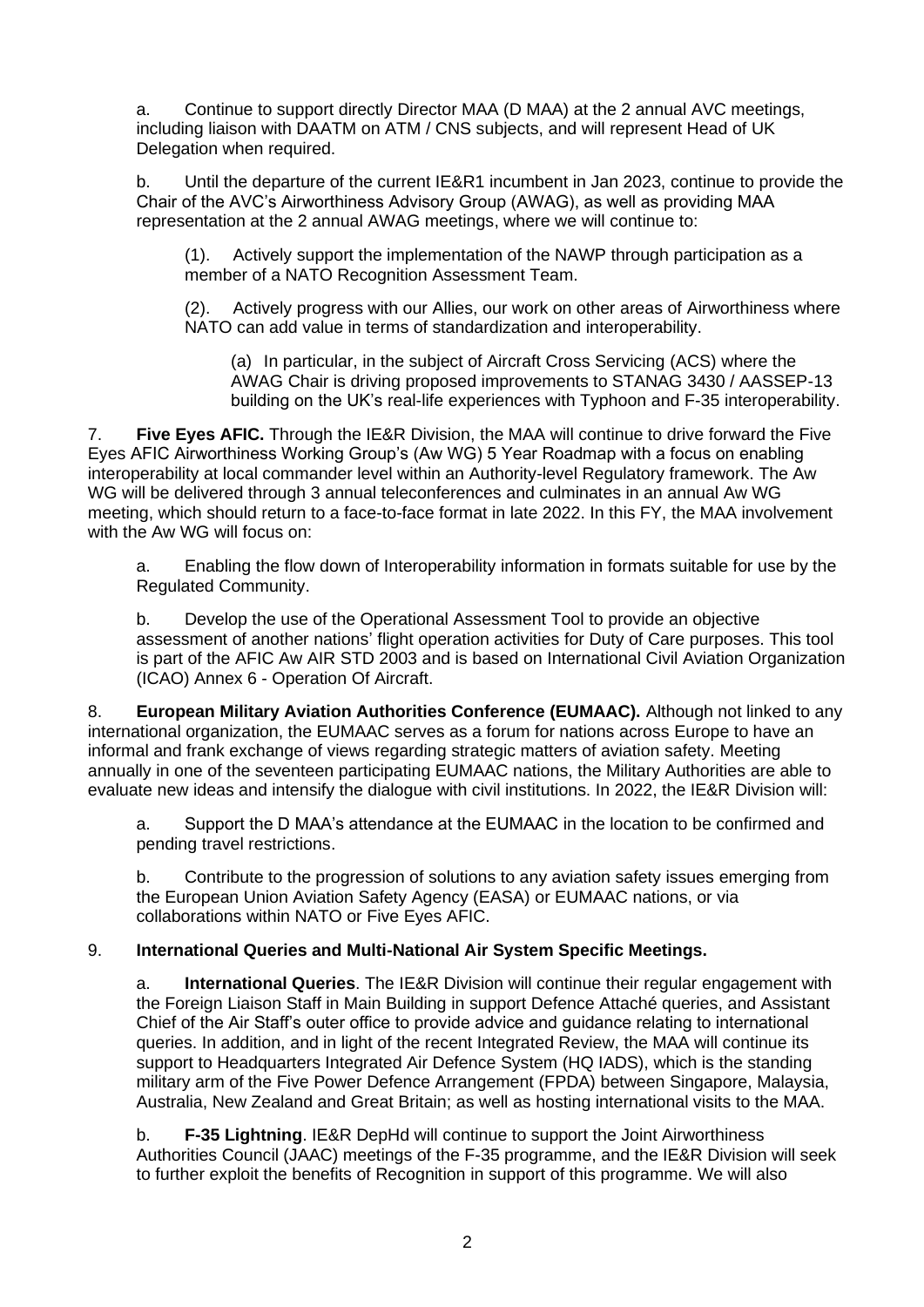a. Continue to support directly Director MAA (D MAA) at the 2 annual AVC meetings, including liaison with DAATM on ATM / CNS subjects, and will represent Head of UK Delegation when required.

b. Until the departure of the current IE&R1 incumbent in Jan 2023, continue to provide the Chair of the AVC's Airworthiness Advisory Group (AWAG), as well as providing MAA representation at the 2 annual AWAG meetings, where we will continue to:

(1). Actively support the implementation of the NAWP through participation as a member of a NATO Recognition Assessment Team.

(2). Actively progress with our Allies, our work on other areas of Airworthiness where NATO can add value in terms of standardization and interoperability.

(a) In particular, in the subject of Aircraft Cross Servicing (ACS) where the AWAG Chair is driving proposed improvements to STANAG 3430 / AASSEP-13 building on the UK's real-life experiences with Typhoon and F-35 interoperability.

7. **Five Eyes AFIC.** Through the IE&R Division, the MAA will continue to drive forward the Five Eyes AFIC Airworthiness Working Group's (Aw WG) 5 Year Roadmap with a focus on enabling interoperability at local commander level within an Authority-level Regulatory framework. The Aw WG will be delivered through 3 annual teleconferences and culminates in an annual Aw WG meeting, which should return to a face-to-face format in late 2022. In this FY, the MAA involvement with the Aw WG will focus on:

a. Enabling the flow down of Interoperability information in formats suitable for use by the Regulated Community.

b. Develop the use of the Operational Assessment Tool to provide an objective assessment of another nations' flight operation activities for Duty of Care purposes. This tool is part of the AFIC Aw AIR STD 2003 and is based on International Civil Aviation Organization (ICAO) Annex 6 - Operation Of Aircraft.

8. **European Military Aviation Authorities Conference (EUMAAC).** Although not linked to any international organization, the EUMAAC serves as a forum for nations across Europe to have an informal and frank exchange of views regarding strategic matters of aviation safety. Meeting annually in one of the seventeen participating EUMAAC nations, the Military Authorities are able to evaluate new ideas and intensify the dialogue with civil institutions. In 2022, the IE&R Division will:

a. Support the D MAA's attendance at the EUMAAC in the location to be confirmed and pending travel restrictions.

b. Contribute to the progression of solutions to any aviation safety issues emerging from the European Union Aviation Safety Agency (EASA) or EUMAAC nations, or via collaborations within NATO or Five Eyes AFIC.

### 9. **International Queries and Multi-National Air System Specific Meetings.**

a. **International Queries**. The IE&R Division will continue their regular engagement with the Foreign Liaison Staff in Main Building in support Defence Attaché queries, and Assistant Chief of the Air Staff's outer office to provide advice and guidance relating to international queries. In addition, and in light of the recent Integrated Review, the MAA will continue its support to Headquarters Integrated Air Defence System (HQ IADS), which is the standing military arm of the Five Power Defence Arrangement (FPDA) between Singapore, Malaysia, Australia, New Zealand and Great Britain; as well as hosting international visits to the MAA.

b. **F-35 Lightning**. IE&R DepHd will continue to support the Joint Airworthiness Authorities Council (JAAC) meetings of the F-35 programme, and the IE&R Division will seek to further exploit the benefits of Recognition in support of this programme. We will also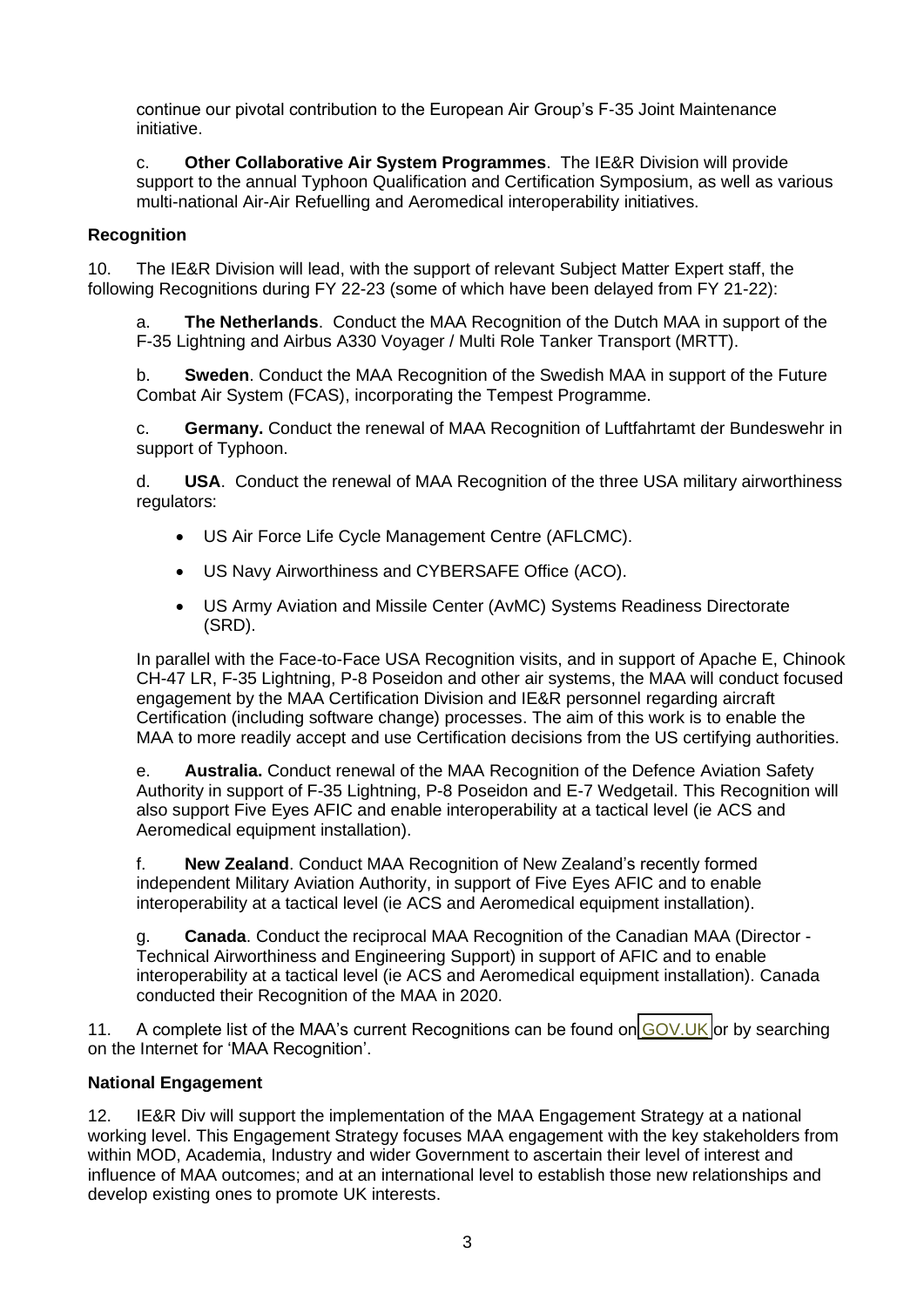continue our pivotal contribution to the European Air Group's F-35 Joint Maintenance initiative.

c. **Other Collaborative Air System Programmes**. The IE&R Division will provide support to the annual Typhoon Qualification and Certification Symposium, as well as various multi-national Air-Air Refuelling and Aeromedical interoperability initiatives.

## **Recognition**

10. The IE&R Division will lead, with the support of relevant Subject Matter Expert staff, the following Recognitions during FY 22-23 (some of which have been delayed from FY 21-22):

a. **The Netherlands**. Conduct the MAA Recognition of the Dutch MAA in support of the F-35 Lightning and Airbus A330 Voyager / Multi Role Tanker Transport (MRTT).

b. **Sweden**. Conduct the MAA Recognition of the Swedish MAA in support of the Future Combat Air System (FCAS), incorporating the Tempest Programme.

c. **Germany.** Conduct the renewal of MAA Recognition of Luftfahrtamt der Bundeswehr in support of Typhoon.

d. **USA**. Conduct the renewal of MAA Recognition of the three USA military airworthiness regulators:

- US Air Force Life Cycle Management Centre (AFLCMC).
- US Navy Airworthiness and CYBERSAFE Office (ACO).
- US Army Aviation and Missile Center (AvMC) Systems Readiness Directorate (SRD).

In parallel with the Face-to-Face USA Recognition visits, and in support of Apache E, Chinook CH-47 LR, F-35 Lightning, P-8 Poseidon and other air systems, the MAA will conduct focused engagement by the MAA Certification Division and IE&R personnel regarding aircraft Certification (including software change) processes. The aim of this work is to enable the MAA to more readily accept and use Certification decisions from the US certifying authorities.

e. **Australia.** Conduct renewal of the MAA Recognition of the Defence Aviation Safety Authority in support of F-35 Lightning, P-8 Poseidon and E-7 Wedgetail. This Recognition will also support Five Eyes AFIC and enable interoperability at a tactical level (ie ACS and Aeromedical equipment installation).

f. **New Zealand**. Conduct MAA Recognition of New Zealand's recently formed independent Military Aviation Authority, in support of Five Eyes AFIC and to enable interoperability at a tactical level (ie ACS and Aeromedical equipment installation).

g. **Canada**. Conduct the reciprocal MAA Recognition of the Canadian MAA (Director - Technical Airworthiness and Engineering Support) in support of AFIC and to enable interoperability at a tactical level (ie ACS and Aeromedical equipment installation). Canada conducted their Recognition of the MAA in 2020.

11. A complete list of the MAA's current Recognitions can be found on [GOV.UK](https://www.gov.uk/government/publications/maa-recognition) or by searching on the Internet for 'MAA Recognition'.

### **National Engagement**

12. IE&R Div will support the implementation of the MAA Engagement Strategy at a national working level. This Engagement Strategy focuses MAA engagement with the key stakeholders from within MOD, Academia, Industry and wider Government to ascertain their level of interest and influence of MAA outcomes; and at an international level to establish those new relationships and develop existing ones to promote UK interests.